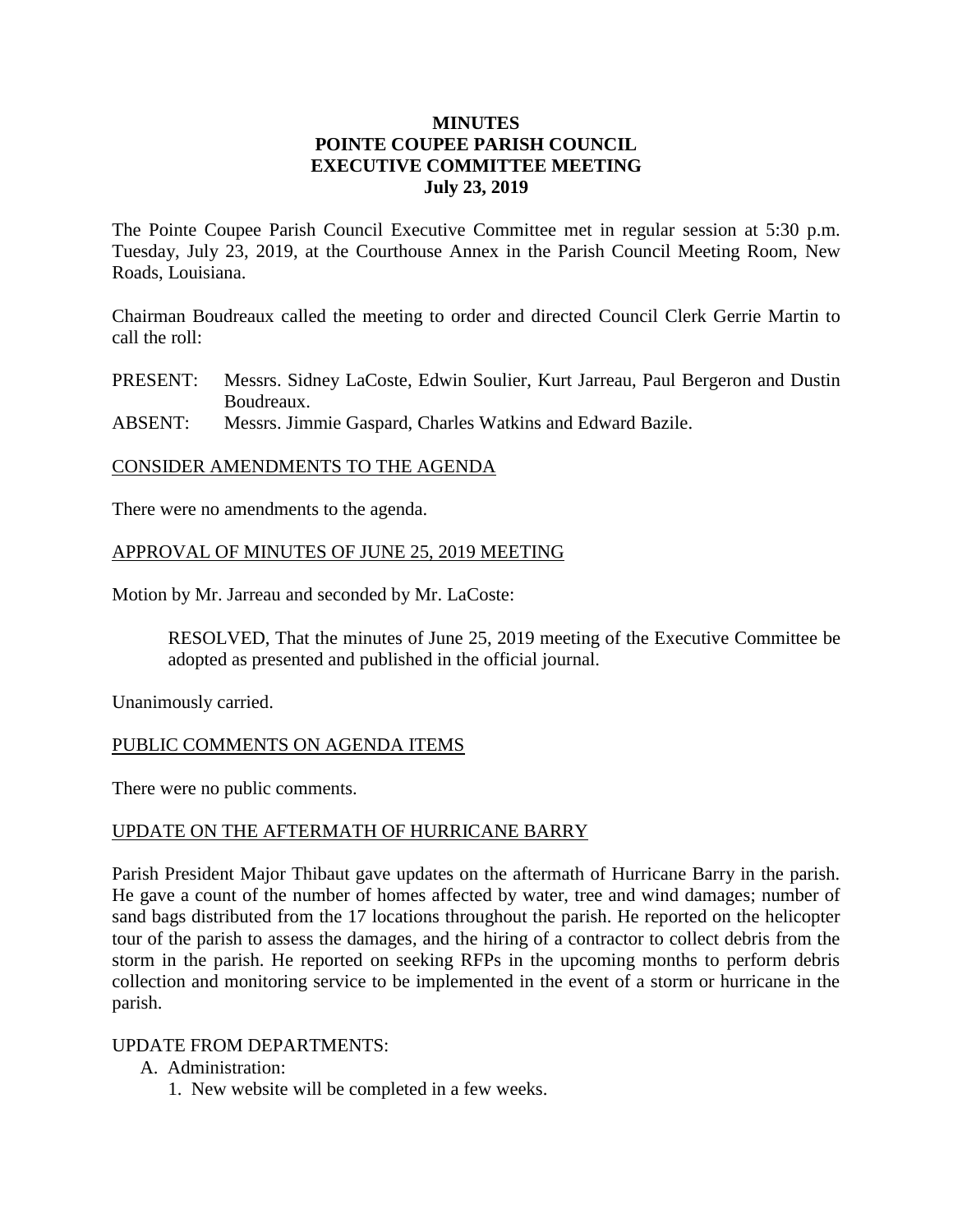# **MINUTES POINTE COUPEE PARISH COUNCIL EXECUTIVE COMMITTEE MEETING July 23, 2019**

The Pointe Coupee Parish Council Executive Committee met in regular session at 5:30 p.m. Tuesday, July 23, 2019, at the Courthouse Annex in the Parish Council Meeting Room, New Roads, Louisiana.

Chairman Boudreaux called the meeting to order and directed Council Clerk Gerrie Martin to call the roll:

PRESENT: Messrs. Sidney LaCoste, Edwin Soulier, Kurt Jarreau, Paul Bergeron and Dustin Boudreaux.

ABSENT: Messrs. Jimmie Gaspard, Charles Watkins and Edward Bazile.

## CONSIDER AMENDMENTS TO THE AGENDA

There were no amendments to the agenda.

## APPROVAL OF MINUTES OF JUNE 25, 2019 MEETING

Motion by Mr. Jarreau and seconded by Mr. LaCoste:

RESOLVED, That the minutes of June 25, 2019 meeting of the Executive Committee be adopted as presented and published in the official journal.

Unanimously carried.

## PUBLIC COMMENTS ON AGENDA ITEMS

There were no public comments.

## UPDATE ON THE AFTERMATH OF HURRICANE BARRY

Parish President Major Thibaut gave updates on the aftermath of Hurricane Barry in the parish. He gave a count of the number of homes affected by water, tree and wind damages; number of sand bags distributed from the 17 locations throughout the parish. He reported on the helicopter tour of the parish to assess the damages, and the hiring of a contractor to collect debris from the storm in the parish. He reported on seeking RFPs in the upcoming months to perform debris collection and monitoring service to be implemented in the event of a storm or hurricane in the parish.

## UPDATE FROM DEPARTMENTS:

- A. Administration:
	- 1. New website will be completed in a few weeks.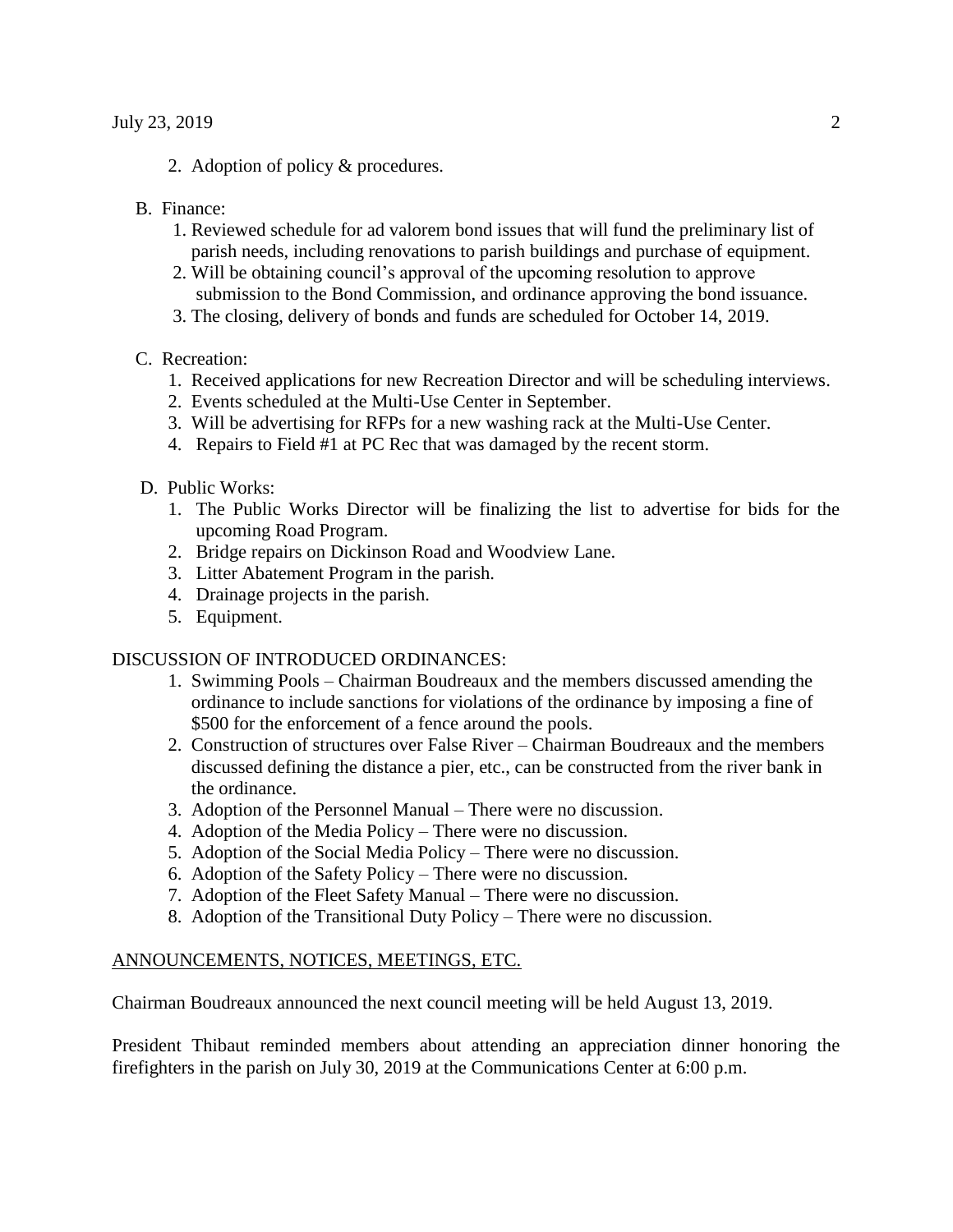2. Adoption of policy & procedures.

#### B. Finance:

- 1. Reviewed schedule for ad valorem bond issues that will fund the preliminary list of parish needs, including renovations to parish buildings and purchase of equipment.
- 2. Will be obtaining council's approval of the upcoming resolution to approve submission to the Bond Commission, and ordinance approving the bond issuance.
- 3. The closing, delivery of bonds and funds are scheduled for October 14, 2019.

#### C. Recreation:

- 1. Received applications for new Recreation Director and will be scheduling interviews.
- 2. Events scheduled at the Multi-Use Center in September.
- 3. Will be advertising for RFPs for a new washing rack at the Multi-Use Center.
- 4. Repairs to Field #1 at PC Rec that was damaged by the recent storm.
- D. Public Works:
	- 1. The Public Works Director will be finalizing the list to advertise for bids for the upcoming Road Program.
	- 2. Bridge repairs on Dickinson Road and Woodview Lane.
	- 3. Litter Abatement Program in the parish.
	- 4. Drainage projects in the parish.
	- 5. Equipment.

#### DISCUSSION OF INTRODUCED ORDINANCES:

- 1. Swimming Pools Chairman Boudreaux and the members discussed amending the ordinance to include sanctions for violations of the ordinance by imposing a fine of \$500 for the enforcement of a fence around the pools.
- 2. Construction of structures over False River Chairman Boudreaux and the members discussed defining the distance a pier, etc., can be constructed from the river bank in the ordinance.
- 3. Adoption of the Personnel Manual There were no discussion.
- 4. Adoption of the Media Policy There were no discussion.
- 5. Adoption of the Social Media Policy There were no discussion.
- 6. Adoption of the Safety Policy There were no discussion.
- 7. Adoption of the Fleet Safety Manual There were no discussion.
- 8. Adoption of the Transitional Duty Policy There were no discussion.

#### ANNOUNCEMENTS, NOTICES, MEETINGS, ETC.

Chairman Boudreaux announced the next council meeting will be held August 13, 2019.

President Thibaut reminded members about attending an appreciation dinner honoring the firefighters in the parish on July 30, 2019 at the Communications Center at 6:00 p.m.